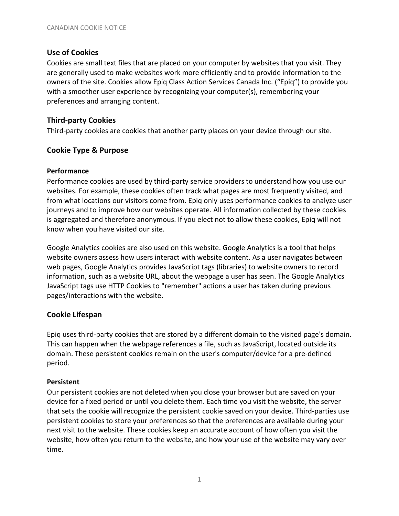### **Use of Cookies**

Cookies are small text files that are placed on your computer by websites that you visit. They are generally used to make websites work more efficiently and to provide information to the owners of the site. Cookies allow Epiq Class Action Services Canada Inc. ("Epiq") to provide you with a smoother user experience by recognizing your computer(s), remembering your preferences and arranging content.

## **Third-party Cookies**

Third-party cookies are cookies that another party places on your device through our site.

# **Cookie Type & Purpose**

#### **Performance**

Performance cookies are used by third-party service providers to understand how you use our websites. For example, these cookies often track what pages are most frequently visited, and from what locations our visitors come from. Epiq only uses performance cookies to analyze user journeys and to improve how our websites operate. All information collected by these cookies is aggregated and therefore anonymous. If you elect not to allow these cookies, Epiq will not know when you have visited our site.

Google Analytics cookies are also used on this website. Google Analytics is a tool that helps website owners assess how users interact with website content. As a user navigates between web pages, Google Analytics provides JavaScript tags (libraries) to website owners to record information, such as a website URL, about the webpage a user has seen. The Google Analytics JavaScript tags use HTTP Cookies to "remember" actions a user has taken during previous pages/interactions with the website.

### **Cookie Lifespan**

Epiq uses third-party cookies that are stored by a different domain to the visited page's domain. This can happen when the webpage references a file, such as JavaScript, located outside its domain. These persistent cookies remain on the user's computer/device for a pre-defined period.

### **Persistent**

Our persistent cookies are not deleted when you close your browser but are saved on your device for a fixed period or until you delete them. Each time you visit the website, the server that sets the cookie will recognize the persistent cookie saved on your device. Third-parties use persistent cookies to store your preferences so that the preferences are available during your next visit to the website. These cookies keep an accurate account of how often you visit the website, how often you return to the website, and how your use of the website may vary over time.